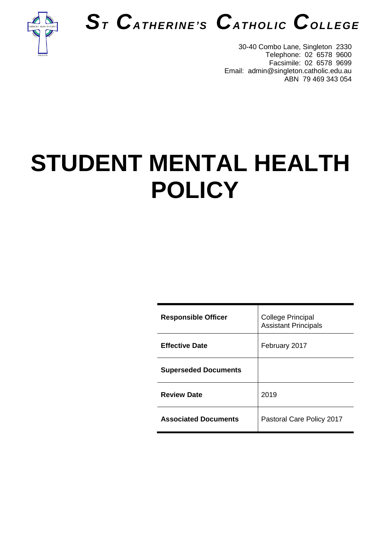



30-40 Combo Lane, Singleton 2330 Telephone: 02 6578 9600 Facsimile: 02 6578 9699 Email: admin@singleton.catholic.edu.au ABN 79 469 343 054

# **STUDENT MENTAL HEALTH POLICY**

| <b>Responsible Officer</b>  | <b>College Principal</b><br><b>Assistant Principals</b> |
|-----------------------------|---------------------------------------------------------|
| <b>Effective Date</b>       | February 2017                                           |
| <b>Superseded Documents</b> |                                                         |
| <b>Review Date</b>          | 2019                                                    |
| <b>Associated Documents</b> | Pastoral Care Policy 2017                               |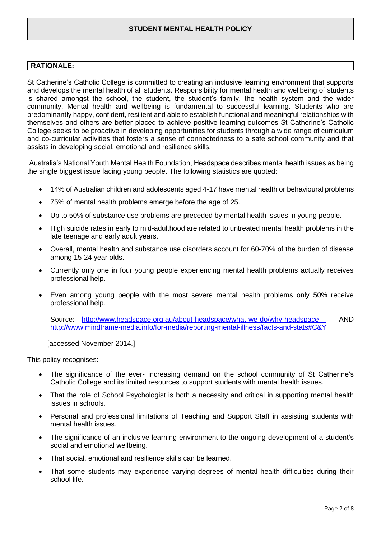# **STUDENT MENTAL HEALTH POLICY**

#### **RATIONALE:**

St Catherine's Catholic College is committed to creating an inclusive learning environment that supports and develops the mental health of all students. Responsibility for mental health and wellbeing of students is shared amongst the school, the student, the student's family, the health system and the wider community. Mental health and wellbeing is fundamental to successful learning. Students who are predominantly happy, confident, resilient and able to establish functional and meaningful relationships with themselves and others are better placed to achieve positive learning outcomes St Catherine's Catholic College seeks to be proactive in developing opportunities for students through a wide range of curriculum and co-curricular activities that fosters a sense of connectedness to a safe school community and that assists in developing social, emotional and resilience skills.

Australia's National Youth Mental Health Foundation, Headspace describes mental health issues as being the single biggest issue facing young people. The following statistics are quoted:

- 14% of Australian children and adolescents aged 4-17 have mental health or behavioural problems
- 75% of mental health problems emerge before the age of 25.
- Up to 50% of substance use problems are preceded by mental health issues in young people.
- High suicide rates in early to mid-adulthood are related to untreated mental health problems in the late teenage and early adult years.
- Overall, mental health and substance use disorders account for 60-70% of the burden of disease among 15-24 year olds.
- Currently only one in four young people experiencing mental health problems actually receives professional help.
- Even among young people with the most severe mental health problems only 50% receive professional help.

Source: <http://www.headspace.org.au/about-headspace/what-we-do/why-headspace> AND <http://www.mindframe-media.info/for-media/reporting-mental-illness/facts-and-stats#C&Y>

[accessed November 2014.]

This policy recognises:

- The significance of the ever- increasing demand on the school community of St Catherine's Catholic College and its limited resources to support students with mental health issues.
- That the role of School Psychologist is both a necessity and critical in supporting mental health issues in schools.
- Personal and professional limitations of Teaching and Support Staff in assisting students with mental health issues.
- The significance of an inclusive learning environment to the ongoing development of a student's social and emotional wellbeing.
- That social, emotional and resilience skills can be learned.
- That some students may experience varying degrees of mental health difficulties during their school life.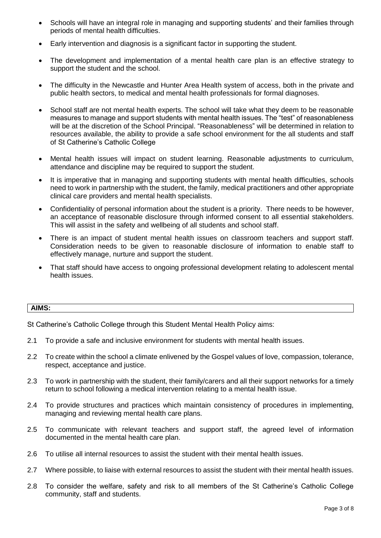- Schools will have an integral role in managing and supporting students' and their families through periods of mental health difficulties.
- Early intervention and diagnosis is a significant factor in supporting the student.
- The development and implementation of a mental health care plan is an effective strategy to support the student and the school.
- The difficulty in the Newcastle and Hunter Area Health system of access, both in the private and public health sectors, to medical and mental health professionals for formal diagnoses.
- School staff are not mental health experts. The school will take what they deem to be reasonable measures to manage and support students with mental health issues. The "test" of reasonableness will be at the discretion of the School Principal. "Reasonableness" will be determined in relation to resources available, the ability to provide a safe school environment for the all students and staff of St Catherine's Catholic College
- Mental health issues will impact on student learning. Reasonable adjustments to curriculum, attendance and discipline may be required to support the student.
- It is imperative that in managing and supporting students with mental health difficulties, schools need to work in partnership with the student, the family, medical practitioners and other appropriate clinical care providers and mental health specialists.
- Confidentiality of personal information about the student is a priority. There needs to be however, an acceptance of reasonable disclosure through informed consent to all essential stakeholders. This will assist in the safety and wellbeing of all students and school staff.
- There is an impact of student mental health issues on classroom teachers and support staff. Consideration needs to be given to reasonable disclosure of information to enable staff to effectively manage, nurture and support the student.
- That staff should have access to ongoing professional development relating to adolescent mental health issues.

#### **AIMS:**

St Catherine's Catholic College through this Student Mental Health Policy aims:

- 2.1 To provide a safe and inclusive environment for students with mental health issues.
- 2.2 To create within the school a climate enlivened by the Gospel values of love, compassion, tolerance, respect, acceptance and justice.
- 2.3 To work in partnership with the student, their family/carers and all their support networks for a timely return to school following a medical intervention relating to a mental health issue.
- 2.4 To provide structures and practices which maintain consistency of procedures in implementing, managing and reviewing mental health care plans.
- 2.5 To communicate with relevant teachers and support staff, the agreed level of information documented in the mental health care plan.
- 2.6 To utilise all internal resources to assist the student with their mental health issues.
- 2.7 Where possible, to liaise with external resources to assist the student with their mental health issues.
- 2.8 To consider the welfare, safety and risk to all members of the St Catherine's Catholic College community, staff and students.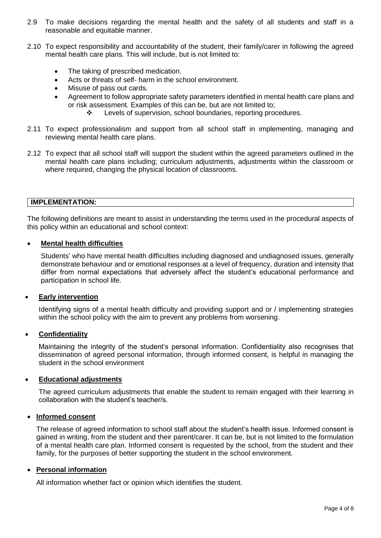- 2.9 To make decisions regarding the mental health and the safety of all students and staff in a reasonable and equitable manner.
- 2.10 To expect responsibility and accountability of the student, their family/carer in following the agreed mental health care plans. This will include, but is not limited to:
	- The taking of prescribed medication.
	- Acts or threats of self- harm in the school environment.
	- Misuse of pass out cards.
	- Agreement to follow appropriate safety parameters identified in mental health care plans and or risk assessment. Examples of this can be, but are not limited to;
		- \* Levels of supervision, school boundaries, reporting procedures.
- 2.11 To expect professionalism and support from all school staff in implementing, managing and reviewing mental health care plans.
- 2.12 To expect that all school staff will support the student within the agreed parameters outlined in the mental health care plans including; curriculum adjustments, adjustments within the classroom or where required, changing the physical location of classrooms.

#### **IMPLEMENTATION:**

The following definitions are meant to assist in understanding the terms used in the procedural aspects of this policy within an educational and school context:

#### **Mental health difficulties**

Students' who have mental health difficulties including diagnosed and undiagnosed issues, generally demonstrate behaviour and or emotional responses at a level of frequency, duration and intensity that differ from normal expectations that adversely affect the student's educational performance and participation in school life.

#### **Early intervention**

Identifying signs of a mental health difficulty and providing support and or / implementing strategies within the school policy with the aim to prevent any problems from worsening.

#### **Confidentiality**

Maintaining the integrity of the student's personal information. Confidentiality also recognises that dissemination of agreed personal information, through informed consent, is helpful in managing the student in the school environment

#### **Educational adjustments**

The agreed curriculum adjustments that enable the student to remain engaged with their learning in collaboration with the student's teacher/s.

#### **Informed consent**

The release of agreed information to school staff about the student's health issue. Informed consent is gained in writing, from the student and their parent/carer. It can be, but is not limited to the formulation of a mental health care plan. Informed consent is requested by the school, from the student and their family, for the purposes of better supporting the student in the school environment.

#### **Personal information**

All information whether fact or opinion which identifies the student.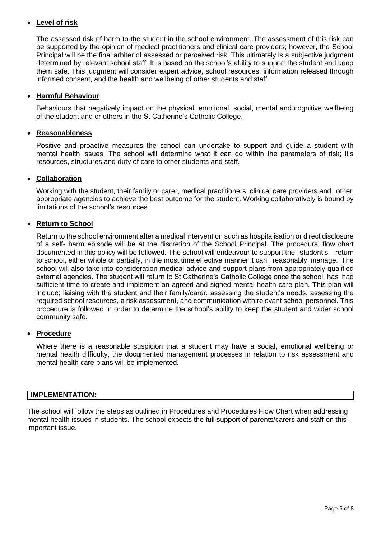# **Level of risk**

The assessed risk of harm to the student in the school environment. The assessment of this risk can be supported by the opinion of medical practitioners and clinical care providers; however, the School Principal will be the final arbiter of assessed or perceived risk. This ultimately is a subjective judgment determined by relevant school staff. It is based on the school's ability to support the student and keep them safe. This judgment will consider expert advice, school resources, information released through informed consent, and the health and wellbeing of other students and staff.

# **Harmful Behaviour**

Behaviours that negatively impact on the physical, emotional, social, mental and cognitive wellbeing of the student and or others in the St Catherine's Catholic College.

# **Reasonableness**

Positive and proactive measures the school can undertake to support and guide a student with mental health issues. The school will determine what it can do within the parameters of risk; it's resources, structures and duty of care to other students and staff.

# **Collaboration**

Working with the student, their family or carer, medical practitioners, clinical care providers and other appropriate agencies to achieve the best outcome for the student. Working collaboratively is bound by limitations of the school's resources.

# **Return to School**

Return to the school environment after a medical intervention such as hospitalisation or direct disclosure of a self- harm episode will be at the discretion of the School Principal. The procedural flow chart documented in this policy will be followed. The school will endeavour to support the student's return to school, either whole or partially, in the most time effective manner it can reasonably manage. The school will also take into consideration medical advice and support plans from appropriately qualified external agencies. The student will return to St Catherine's Catholic College once the school has had sufficient time to create and implement an agreed and signed mental health care plan. This plan will include; liaising with the student and their family/carer, assessing the student's needs, assessing the required school resources, a risk assessment, and communication with relevant school personnel. This procedure is followed in order to determine the school's ability to keep the student and wider school community safe.

#### **Procedure**

Where there is a reasonable suspicion that a student may have a social, emotional wellbeing or mental health difficulty, the documented management processes in relation to risk assessment and mental health care plans will be implemented.

#### **IMPLEMENTATION:**

The school will follow the steps as outlined in Procedures and Procedures Flow Chart when addressing mental health issues in students. The school expects the full support of parents/carers and staff on this important issue.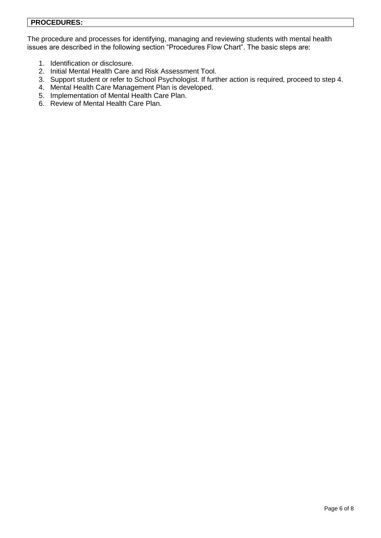# **PROCEDURES:**

The procedure and processes for identifying, managing and reviewing students with mental health issues are described in the following section "Procedures Flow Chart". The basic steps are:

- 1. Identification or disclosure.
- 2. Initial Mental Health Care and Risk Assessment Tool.
- 3. Support student or refer to School Psychologist. If further action is required, proceed to step 4.
- 4. Mental Health Care Management Plan is developed.
- 5. Implementation of Mental Health Care Plan.
- 6. Review of Mental Health Care Plan.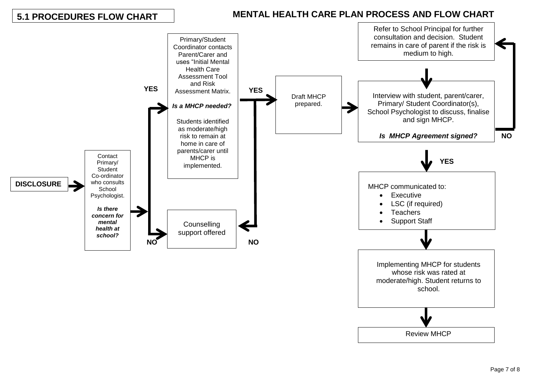# **5.1 PROCEDURES FLOW CHART**

# **MENTAL HEALTH CARE PLAN PROCESS AND FLOW CHART**